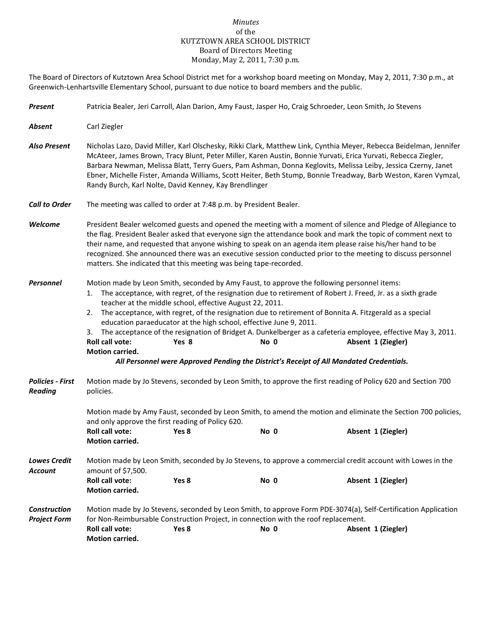## *Minutes* of the KUTZTOWN AREA SCHOOL DISTRICT Board of Directors Meeting Monday, May 2, 2011, 7:30 p.m.

The Board of Directors of Kutztown Area School District met for a workshop board meeting on Monday, May 2, 2011, 7:30 p.m., at Greenwich-Lenhartsville Elementary School, pursuant to due notice to board members and the public.

| Present                                    | Patricia Bealer, Jeri Carroll, Alan Darion, Amy Faust, Jasper Ho, Craig Schroeder, Leon Smith, Jo Stevens                                                                                                                                                                                                                                                                                                                                                                                                                                                                                                                                                                                                                                                        |                  |                                                                                             |                                                                                                                                      |
|--------------------------------------------|------------------------------------------------------------------------------------------------------------------------------------------------------------------------------------------------------------------------------------------------------------------------------------------------------------------------------------------------------------------------------------------------------------------------------------------------------------------------------------------------------------------------------------------------------------------------------------------------------------------------------------------------------------------------------------------------------------------------------------------------------------------|------------------|---------------------------------------------------------------------------------------------|--------------------------------------------------------------------------------------------------------------------------------------|
| Absent                                     | Carl Ziegler                                                                                                                                                                                                                                                                                                                                                                                                                                                                                                                                                                                                                                                                                                                                                     |                  |                                                                                             |                                                                                                                                      |
| <b>Also Present</b>                        | Nicholas Lazo, David Miller, Karl Olschesky, Rikki Clark, Matthew Link, Cynthia Meyer, Rebecca Beidelman, Jennifer<br>McAteer, James Brown, Tracy Blunt, Peter Miller, Karen Austin, Bonnie Yurvati, Erica Yurvati, Rebecca Ziegler,<br>Barbara Newman, Melissa Blatt, Terry Guers, Pam Ashman, Donna Keglovits, Melissa Leiby, Jessica Czerny, Janet<br>Ebner, Michelle Fister, Amanda Williams, Scott Heiter, Beth Stump, Bonnie Treadway, Barb Weston, Karen Vymzal,<br>Randy Burch, Karl Nolte, David Kenney, Kay Brendlinger                                                                                                                                                                                                                                |                  |                                                                                             |                                                                                                                                      |
| <b>Call to Order</b>                       | The meeting was called to order at 7:48 p.m. by President Bealer.                                                                                                                                                                                                                                                                                                                                                                                                                                                                                                                                                                                                                                                                                                |                  |                                                                                             |                                                                                                                                      |
| Welcome                                    | President Bealer welcomed guests and opened the meeting with a moment of silence and Pledge of Allegiance to<br>the flag. President Bealer asked that everyone sign the attendance book and mark the topic of comment next to<br>their name, and requested that anyone wishing to speak on an agenda item please raise his/her hand to be<br>recognized. She announced there was an executive session conducted prior to the meeting to discuss personnel<br>matters. She indicated that this meeting was being tape-recorded.                                                                                                                                                                                                                                   |                  |                                                                                             |                                                                                                                                      |
| <b>Personnel</b>                           | Motion made by Leon Smith, seconded by Amy Faust, to approve the following personnel items:<br>The acceptance, with regret, of the resignation due to retirement of Robert J. Freed, Jr. as a sixth grade<br>1.<br>teacher at the middle school, effective August 22, 2011.<br>The acceptance, with regret, of the resignation due to retirement of Bonnita A. Fitzgerald as a special<br>2.<br>education paraeducator at the high school, effective June 9, 2011.<br>The acceptance of the resignation of Bridget A. Dunkelberger as a cafeteria employee, effective May 3, 2011.<br>3.<br>Roll call vote:<br>Yes 8<br>No 0<br>Absent 1 (Ziegler)<br>Motion carried.<br>All Personnel were Approved Pending the District's Receipt of All Mandated Credentials. |                  |                                                                                             |                                                                                                                                      |
| <b>Policies - First</b><br><b>Reading</b>  | Motion made by Jo Stevens, seconded by Leon Smith, to approve the first reading of Policy 620 and Section 700<br>policies.                                                                                                                                                                                                                                                                                                                                                                                                                                                                                                                                                                                                                                       |                  |                                                                                             |                                                                                                                                      |
|                                            | and only approve the first reading of Policy 620.<br><b>Roll call vote:</b><br>Motion carried.                                                                                                                                                                                                                                                                                                                                                                                                                                                                                                                                                                                                                                                                   | Yes 8            | No 0                                                                                        | Motion made by Amy Faust, seconded by Leon Smith, to amend the motion and eliminate the Section 700 policies,<br>Absent 1 (Ziegler)  |
| <b>Lowes Credit</b><br>Account             | Motion made by Leon Smith, seconded by Jo Stevens, to approve a commercial credit account with Lowes in the<br>amount of \$7,500.                                                                                                                                                                                                                                                                                                                                                                                                                                                                                                                                                                                                                                |                  |                                                                                             |                                                                                                                                      |
|                                            | Roll call vote:<br><b>Motion carried.</b>                                                                                                                                                                                                                                                                                                                                                                                                                                                                                                                                                                                                                                                                                                                        | Yes 8            | No 0                                                                                        | Absent 1 (Ziegler)                                                                                                                   |
| <b>Construction</b><br><b>Project Form</b> | Roll call vote:<br>Motion carried.                                                                                                                                                                                                                                                                                                                                                                                                                                                                                                                                                                                                                                                                                                                               | Yes <sub>8</sub> | for Non-Reimbursable Construction Project, in connection with the roof replacement.<br>No 0 | Motion made by Jo Stevens, seconded by Leon Smith, to approve Form PDE-3074(a), Self-Certification Application<br>Absent 1 (Ziegler) |